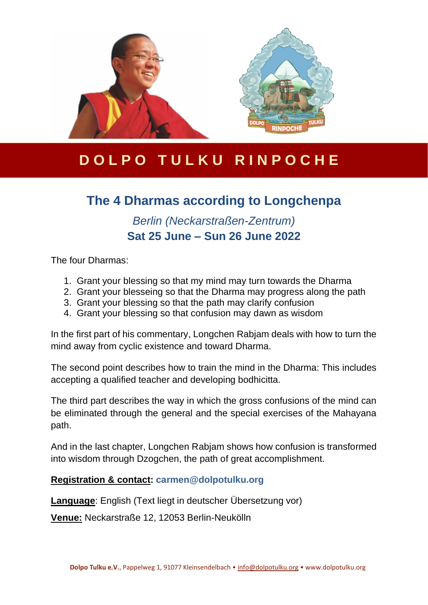

# **D O L P O T U L K U R I N P O C H E**

## **The 4 Dharmas according to Longchenpa**

## *Berlin (Neckarstraßen-Zentrum)* **Sat 25 June – Sun 26 June 2022**

The four Dharmas:

- 1. Grant your blessing so that my mind may turn towards the Dharma
- 2. Grant your blesseing so that the Dharma may progress along the path
- 3. Grant your blessing so that the path may clarify confusion
- 4. Grant your blessing so that confusion may dawn as wisdom

In the first part of his commentary, Longchen Rabjam deals with how to turn the mind away from cyclic existence and toward Dharma.

The second point describes how to train the mind in the Dharma: This includes accepting a qualified teacher and developing bodhicitta.

The third part describes the way in which the gross confusions of the mind can be eliminated through the general and the special exercises of the Mahayana path.

And in the last chapter, Longchen Rabjam shows how confusion is transformed into wisdom through Dzogchen, the path of great accomplishment.

#### **Registration & contact: [carmen@dolpotulku.org](mailto:carmen@dolpotulku.org)**

**Language**: English (Text liegt in deutscher Übersetzung vor)

**Venue:** Neckarstraße 12, 12053 Berlin-Neukölln